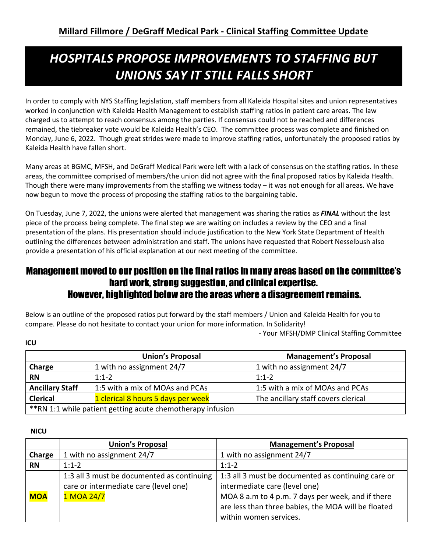# *HOSPITALS PROPOSE IMPROVEMENTS TO STAFFING BUT UNIONS SAY IT STILL FALLS SHORT*

In order to comply with NYS Staffing legislation, staff members from all Kaleida Hospital sites and union representatives worked in conjunction with Kaleida Health Management to establish staffing ratios in patient care areas. The law charged us to attempt to reach consensus among the parties. If consensus could not be reached and differences remained, the tiebreaker vote would be Kaleida Health's CEO. The committee process was complete and finished on Monday, June 6, 2022. Though great strides were made to improve staffing ratios, unfortunately the proposed ratios by Kaleida Health have fallen short.

Many areas at BGMC, MFSH, and DeGraff Medical Park were left with a lack of consensus on the staffing ratios. In these areas, the committee comprised of members/the union did not agree with the final proposed ratios by Kaleida Health. Though there were many improvements from the staffing we witness today – it was not enough for all areas. We have now begun to move the process of proposing the staffing ratios to the bargaining table.

On Tuesday, June 7, 2022, the unions were alerted that management was sharing the ratios as *FINAL* without the last piece of the process being complete. The final step we are waiting on includes a review by the CEO and a final presentation of the plans. His presentation should include justification to the New York State Department of Health outlining the differences between administration and staff. The unions have requested that Robert Nesselbush also provide a presentation of his official explanation at our next meeting of the committee.

## Management moved to our position on the final ratios in many areas based on the committee's hard work, strong suggestion, and clinical expertise. However, highlighted below are the areas where a disagreement remains.

Below is an outline of the proposed ratios put forward by the staff members / Union and Kaleida Health for you to compare. Please do not hesitate to contact your union for more information. In Solidarity!

- Your MFSH/DMP Clinical Staffing Committee

|                                                                                              | <b>Union's Proposal</b>         | <b>Management's Proposal</b>    |
|----------------------------------------------------------------------------------------------|---------------------------------|---------------------------------|
| Charge                                                                                       | 1 with no assignment 24/7       | 1 with no assignment 24/7       |
| <b>RN</b>                                                                                    | $1:1-2$                         | $1:1-2$                         |
| <b>Ancillary Staff</b>                                                                       | 1:5 with a mix of MOAs and PCAs | 1:5 with a mix of MOAs and PCAs |
| The ancillary staff covers clerical<br><b>Clerical</b><br>1 clerical 8 hours 5 days per week |                                 |                                 |
| ** RN 1:1 while patient getting acute chemotherapy infusion                                  |                                 |                                 |

**NICU**

**ICU**

|            | <b>Union's Proposal</b>                    | <b>Management's Proposal</b>                        |
|------------|--------------------------------------------|-----------------------------------------------------|
| Charge     | 1 with no assignment 24/7                  | 1 with no assignment 24/7                           |
| <b>RN</b>  | $1:1-2$                                    | $1:1-2$                                             |
|            | 1:3 all 3 must be documented as continuing | 1:3 all 3 must be documented as continuing care or  |
|            | care or intermediate care (level one)      | intermediate care (level one)                       |
| <b>MOA</b> | 1 MOA 24/7                                 | MOA 8 a.m to 4 p.m. 7 days per week, and if there   |
|            |                                            | are less than three babies, the MOA will be floated |
|            |                                            | within women services.                              |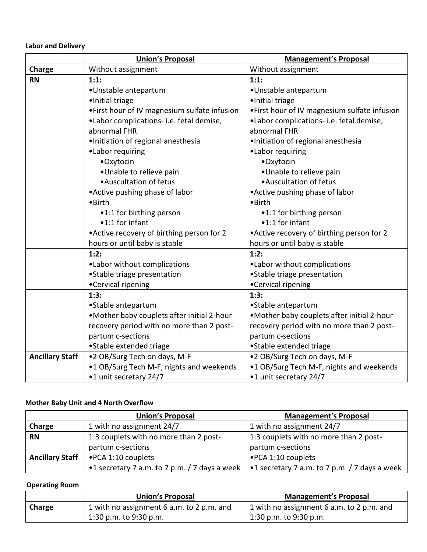## **Labor and Delivery**

|                        | <b>Union's Proposal</b>                       | <b>Management's Proposal</b>                  |  |
|------------------------|-----------------------------------------------|-----------------------------------------------|--|
| Charge                 | Without assignment                            | Without assignment                            |  |
| <b>RN</b>              | 1:1:                                          | 1:1:                                          |  |
|                        | •Unstable antepartum                          | •Unstable antepartum                          |  |
|                        | •Initial triage                               | ·Initial triage                               |  |
|                        | . First hour of IV magnesium sulfate infusion | . First hour of IV magnesium sulfate infusion |  |
|                        | ·Labor complications- i.e. fetal demise,      | •Labor complications- i.e. fetal demise,      |  |
|                        | abnormal FHR                                  | abnormal FHR                                  |  |
|                        | ·Initiation of regional anesthesia            | · Initiation of regional anesthesia           |  |
|                        | •Labor requiring                              | •Labor requiring                              |  |
|                        | •Oxytocin                                     | •Oxytocin                                     |  |
|                        | •Unable to relieve pain                       | •Unable to relieve pain                       |  |
|                        | • Auscultation of fetus                       | • Auscultation of fetus                       |  |
|                        | • Active pushing phase of labor               | • Active pushing phase of labor               |  |
|                        | • Birth                                       | $\bullet$ Birth                               |  |
|                        | •1:1 for birthing person                      | •1:1 for birthing person                      |  |
|                        | •1:1 for infant                               | •1:1 for infant                               |  |
|                        | • Active recovery of birthing person for 2    | • Active recovery of birthing person for 2    |  |
|                        | hours or until baby is stable                 | hours or until baby is stable                 |  |
|                        | 1:2:                                          | 1:2:                                          |  |
|                        | .Labor without complications                  | •Labor without complications                  |  |
|                        | •Stable triage presentation                   | • Stable triage presentation                  |  |
|                        | •Cervical ripening                            | •Cervical ripening                            |  |
|                        | 1:3:                                          | 1:3:                                          |  |
|                        | • Stable antepartum                           | • Stable antepartum                           |  |
|                        | .Mother baby couplets after initial 2-hour    | .Mother baby couplets after initial 2-hour    |  |
|                        | recovery period with no more than 2 post-     | recovery period with no more than 2 post-     |  |
|                        | partum c-sections                             | partum c-sections                             |  |
|                        | •Stable extended triage                       | •Stable extended triage                       |  |
| <b>Ancillary Staff</b> | •2 OB/Surg Tech on days, M-F                  | •2 OB/Surg Tech on days, M-F                  |  |
|                        | •1 OB/Surg Tech M-F, nights and weekends      | •1 OB/Surg Tech M-F, nights and weekends      |  |
|                        | •1 unit secretary 24/7                        | •1 unit secretary 24/7                        |  |

### **Mother Baby Unit and 4 North Overflow**

|                        | <b>Union's Proposal</b>                       | <b>Management's Proposal</b>                  |
|------------------------|-----------------------------------------------|-----------------------------------------------|
| Charge                 | 1 with no assignment 24/7                     | 1 with no assignment 24/7                     |
| <b>RN</b>              | 1:3 couplets with no more than 2 post-        | 1:3 couplets with no more than 2 post-        |
|                        | partum c-sections                             | partum c-sections                             |
| <b>Ancillary Staff</b> | • PCA 1:10 couplets                           | • PCA 1:10 couplets                           |
|                        | •1 secretary 7 a.m. to 7 p.m. / 7 days a week | •1 secretary 7 a.m. to 7 p.m. / 7 days a week |

## **Operating Room**

|        | <b>Union's Proposal</b>                   | <b>Management's Proposal</b>              |
|--------|-------------------------------------------|-------------------------------------------|
| Charge | 1 with no assignment 6 a.m. to 2 p.m. and | 1 with no assignment 6 a.m. to 2 p.m. and |
|        | 1:30 p.m. to $9:30$ p.m.                  | 1:30 p.m. to $9:30$ p.m.                  |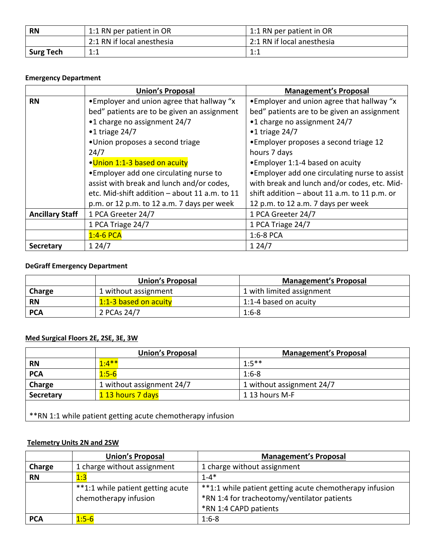| <b>RN</b>        | 1:1 RN per patient in OR   | 1:1 RN per patient in OR   |
|------------------|----------------------------|----------------------------|
|                  | 2:1 RN if local anesthesia | 2:1 RN if local anesthesia |
| <b>Surg Tech</b> | 1:1                        | 1:1                        |

## **Emergency Department**

|                        | <b>Union's Proposal</b>                       | <b>Management's Proposal</b>                   |
|------------------------|-----------------------------------------------|------------------------------------------------|
| <b>RN</b>              | • Employer and union agree that hallway "x    | • Employer and union agree that hallway "x     |
|                        | bed" patients are to be given an assignment   | bed" patients are to be given an assignment    |
|                        | •1 charge no assignment 24/7                  | •1 charge no assignment 24/7                   |
|                        | $\cdot$ 1 triage 24/7                         | $\cdot$ 1 triage 24/7                          |
|                        | •Union proposes a second triage               | • Employer proposes a second triage 12         |
|                        | 24/7                                          | hours 7 days                                   |
|                        | •Union 1:1-3 based on acuity                  | • Employer 1:1-4 based on acuity               |
|                        | • Employer add one circulating nurse to       | • Employer add one circulating nurse to assist |
|                        | assist with break and lunch and/or codes,     | with break and lunch and/or codes, etc. Mid-   |
|                        | etc. Mid-shift addition - about 11 a.m. to 11 | shift addition $-$ about 11 a.m. to 11 p.m. or |
|                        | p.m. or 12 p.m. to 12 a.m. 7 days per week    | 12 p.m. to 12 a.m. 7 days per week             |
| <b>Ancillary Staff</b> | 1 PCA Greeter 24/7                            | 1 PCA Greeter 24/7                             |
|                        | 1 PCA Triage 24/7                             | 1 PCA Triage 24/7                              |
|                        | $1:4-6$ PCA                                   | $1:6-8$ PCA                                    |
| Secretary              | 124/7                                         | 124/7                                          |

## **DeGraff Emergency Department**

|            | <b>Union's Proposal</b> | <b>Management's Proposal</b> |
|------------|-------------------------|------------------------------|
| Charge     | 1 without assignment    | 1 with limited assignment    |
| <b>RN</b>  | 1:1-3 based on acuity   | 1:1-4 based on acuity        |
| <b>PCA</b> | 2 PCAs 24/7             | $1:6-8$                      |

## **Med Surgical Floors 2E, 2SE, 3E, 3W**

|            | <b>Union's Proposal</b>   | <b>Management's Proposal</b> |
|------------|---------------------------|------------------------------|
| <b>RN</b>  | $1:4***$                  | $1:5***$                     |
| <b>PCA</b> | $1:5-6$                   | $1:6-8$                      |
| Charge     | 1 without assignment 24/7 | 1 without assignment 24/7    |
| Secretary  | 1 13 hours 7 days         | 1 13 hours M-F               |
|            |                           |                              |

\*\*RN 1:1 while patient getting acute chemotherapy infusion

## **Telemetry Units 2N and 2SW**

|            | <b>Union's Proposal</b>                                    | <b>Management's Proposal</b>                                                                                                    |
|------------|------------------------------------------------------------|---------------------------------------------------------------------------------------------------------------------------------|
| Charge     | 1 charge without assignment                                | 1 charge without assignment                                                                                                     |
| <b>RN</b>  | 1:3                                                        | $1 - 4*$                                                                                                                        |
|            | **1:1 while patient getting acute<br>chemotherapy infusion | **1:1 while patient getting acute chemotherapy infusion<br>*RN 1:4 for tracheotomy/ventilator patients<br>*RN 1:4 CAPD patients |
| <b>PCA</b> | $1:5-6$                                                    | $1:6-8$                                                                                                                         |